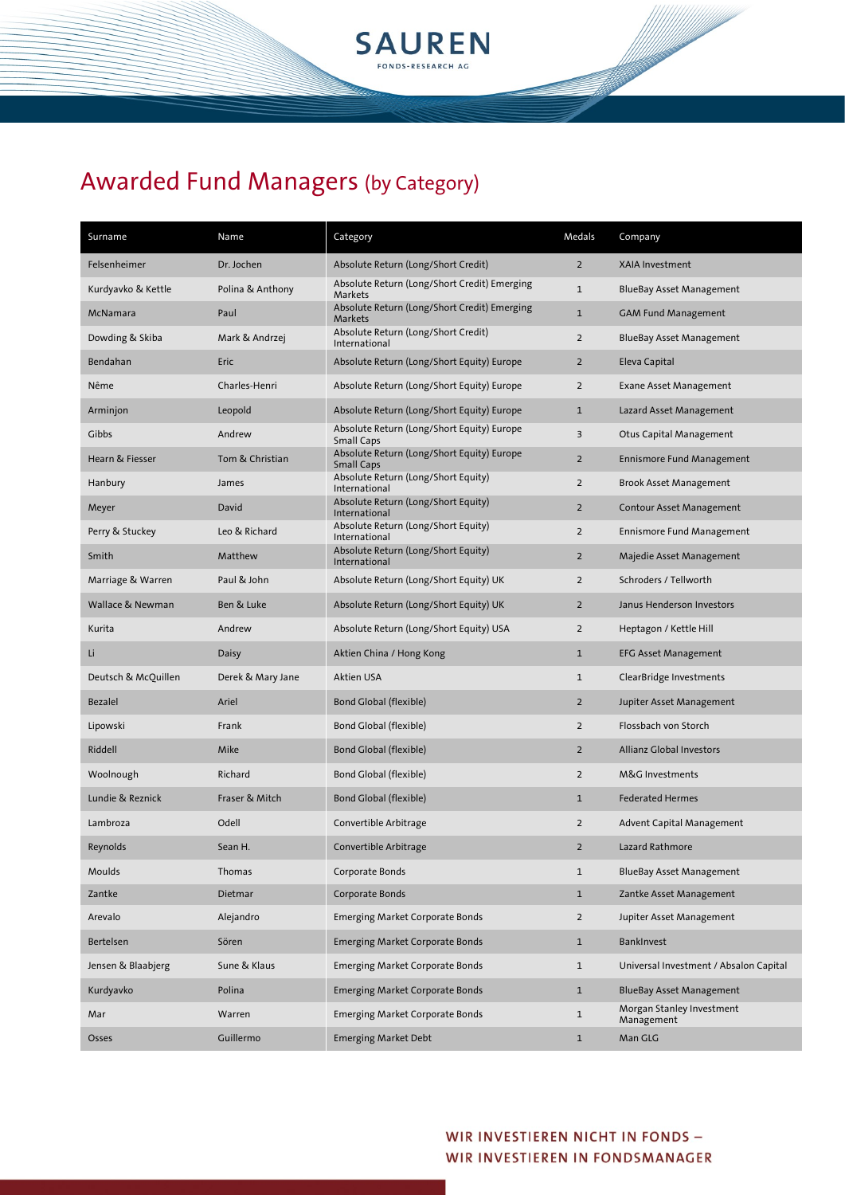

| Surname             | Name              | Category                                                        | Medals         | Company                                 |
|---------------------|-------------------|-----------------------------------------------------------------|----------------|-----------------------------------------|
| Felsenheimer        | Dr. Jochen        | Absolute Return (Long/Short Credit)                             | $\overline{2}$ | <b>XAIA Investment</b>                  |
| Kurdyavko & Kettle  | Polina & Anthony  | Absolute Return (Long/Short Credit) Emerging<br>Markets         | $\mathbf{1}$   | <b>BlueBay Asset Management</b>         |
| McNamara            | Paul              | Absolute Return (Long/Short Credit) Emerging<br>Markets         | $\mathbf{1}$   | <b>GAM Fund Management</b>              |
| Dowding & Skiba     | Mark & Andrzej    | Absolute Return (Long/Short Credit)<br>International            | $\overline{2}$ | BlueBay Asset Management                |
| Bendahan            | Eric              | Absolute Return (Long/Short Equity) Europe                      | $\overline{2}$ | Eleva Capital                           |
| Nême                | Charles-Henri     | Absolute Return (Long/Short Equity) Europe                      | $\overline{2}$ | <b>Exane Asset Management</b>           |
| Arminjon            | Leopold           | Absolute Return (Long/Short Equity) Europe                      | $\mathbf{1}$   | Lazard Asset Management                 |
| Gibbs               | Andrew            | Absolute Return (Long/Short Equity) Europe<br><b>Small Caps</b> | $\overline{3}$ | Otus Capital Management                 |
| Hearn & Fiesser     | Tom & Christian   | Absolute Return (Long/Short Equity) Europe<br><b>Small Caps</b> | $\overline{2}$ | <b>Ennismore Fund Management</b>        |
| Hanbury             | James             | Absolute Return (Long/Short Equity)<br>International            | $\overline{2}$ | <b>Brook Asset Management</b>           |
| Meyer               | David             | Absolute Return (Long/Short Equity)<br>International            | $\overline{2}$ | Contour Asset Management                |
| Perry & Stuckey     | Leo & Richard     | Absolute Return (Long/Short Equity)<br>International            | $\overline{2}$ | <b>Ennismore Fund Management</b>        |
| Smith               | Matthew           | Absolute Return (Long/Short Equity)<br>International            | $\overline{2}$ | Majedie Asset Management                |
| Marriage & Warren   | Paul & John       | Absolute Return (Long/Short Equity) UK                          | $\overline{2}$ | Schroders / Tellworth                   |
| Wallace & Newman    | Ben & Luke        | Absolute Return (Long/Short Equity) UK                          | $\overline{2}$ | Janus Henderson Investors               |
| Kurita              | Andrew            | Absolute Return (Long/Short Equity) USA                         | $\overline{2}$ | Heptagon / Kettle Hill                  |
| Li                  | Daisy             | Aktien China / Hong Kong                                        | $\mathbf{1}$   | <b>EFG Asset Management</b>             |
| Deutsch & McQuillen | Derek & Mary Jane | Aktien USA                                                      | $\mathbf{1}$   | ClearBridge Investments                 |
| <b>Bezalel</b>      | Ariel             | Bond Global (flexible)                                          | $\overline{2}$ | Jupiter Asset Management                |
| Lipowski            | Frank             | Bond Global (flexible)                                          | $\overline{2}$ | Flossbach von Storch                    |
| Riddell             | Mike              | Bond Global (flexible)                                          | $\overline{2}$ | <b>Allianz Global Investors</b>         |
| Woolnough           | Richard           | Bond Global (flexible)                                          | $\overline{2}$ | M&G Investments                         |
| Lundie & Reznick    | Fraser & Mitch    | Bond Global (flexible)                                          | $\mathbf{1}$   | <b>Federated Hermes</b>                 |
| Lambroza            | Odell             | Convertible Arbitrage                                           | $\overline{2}$ | <b>Advent Capital Management</b>        |
| Reynolds            | Sean H.           | Convertible Arbitrage                                           | $\overline{2}$ | Lazard Rathmore                         |
| <b>Moulds</b>       | Thomas            | Corporate Bonds                                                 | $\mathbf{1}$   | <b>BlueBay Asset Management</b>         |
| Zantke              | Dietmar           | Corporate Bonds                                                 | $\mathbf{1}$   | Zantke Asset Management                 |
| Arevalo             | Alejandro         | <b>Emerging Market Corporate Bonds</b>                          | $\overline{2}$ | Jupiter Asset Management                |
| Bertelsen           | Sören             | <b>Emerging Market Corporate Bonds</b>                          | $\mathbf{1}$   | BankInvest                              |
| Jensen & Blaabjerg  | Sune & Klaus      | <b>Emerging Market Corporate Bonds</b>                          | $\mathbf{1}$   | Universal Investment / Absalon Capital  |
| Kurdyavko           | Polina            | Emerging Market Corporate Bonds                                 | $\mathbf{1}$   | <b>BlueBay Asset Management</b>         |
| Mar                 | Warren            | Emerging Market Corporate Bonds                                 | $\mathbf{1}$   | Morgan Stanley Investment<br>Management |
| Osses               | Guillermo         | <b>Emerging Market Debt</b>                                     | $\mathbf{1}$   | Man GLG                                 |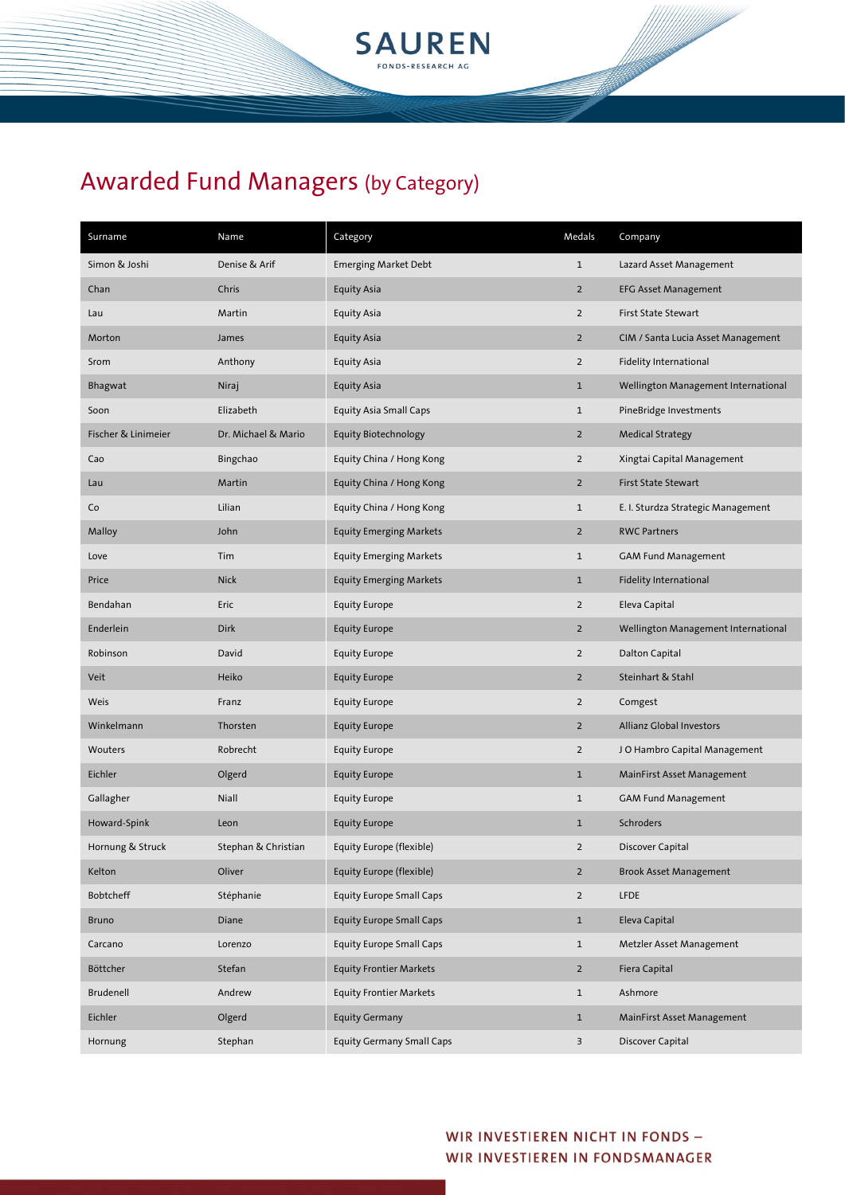

| Surname             | Name                | Category                         | Medals         | Company                             |
|---------------------|---------------------|----------------------------------|----------------|-------------------------------------|
| Simon & Joshi       | Denise & Arif       | <b>Emerging Market Debt</b>      | $\mathbf{1}$   | Lazard Asset Management             |
| Chan                | Chris               | <b>Equity Asia</b>               | $\overline{2}$ | <b>EFG Asset Management</b>         |
| Lau                 | Martin              | Equity Asia                      | $\overline{2}$ | First State Stewart                 |
| Morton              | James               | <b>Equity Asia</b>               | $\overline{2}$ | CIM / Santa Lucia Asset Management  |
| Srom                | Anthony             | Equity Asia                      | $\overline{2}$ | Fidelity International              |
| Bhagwat             | Niraj               | <b>Equity Asia</b>               | $\mathbf{1}$   | Wellington Management International |
| Soon                | Elizabeth           | <b>Equity Asia Small Caps</b>    | $1\,$          | PineBridge Investments              |
| Fischer & Linimeier | Dr. Michael & Mario | Equity Biotechnology             | $\overline{2}$ | <b>Medical Strategy</b>             |
| Cao                 | Bingchao            | Equity China / Hong Kong         | $\overline{2}$ | Xingtai Capital Management          |
| Lau                 | Martin              | Equity China / Hong Kong         | $\overline{2}$ | First State Stewart                 |
| Co                  | Lilian              | Equity China / Hong Kong         | $1\,$          | E. I. Sturdza Strategic Management  |
| Malloy              | John                | <b>Equity Emerging Markets</b>   | $\overline{2}$ | <b>RWC Partners</b>                 |
| Love                | Tim                 | <b>Equity Emerging Markets</b>   | $1\,$          | <b>GAM Fund Management</b>          |
| Price               | <b>Nick</b>         | <b>Equity Emerging Markets</b>   | $\mathbf{1}$   | Fidelity International              |
| Bendahan            | Eric                | <b>Equity Europe</b>             | $\overline{2}$ | Eleva Capital                       |
| Enderlein           | Dirk                | <b>Equity Europe</b>             | $\overline{2}$ | Wellington Management International |
| Robinson            | David               | <b>Equity Europe</b>             | $\overline{2}$ | Dalton Capital                      |
| Veit                | Heiko               | <b>Equity Europe</b>             | $\overline{2}$ | Steinhart & Stahl                   |
| Weis                | Franz               | <b>Equity Europe</b>             | $\overline{2}$ | Comgest                             |
| Winkelmann          | Thorsten            | <b>Equity Europe</b>             | $\overline{2}$ | Allianz Global Investors            |
| Wouters             | Robrecht            | <b>Equity Europe</b>             | $\overline{2}$ | J O Hambro Capital Management       |
| Eichler             | Olgerd              | <b>Equity Europe</b>             | $\mathbf{1}$   | MainFirst Asset Management          |
| Gallagher           | Niall               | <b>Equity Europe</b>             | $1\,$          | <b>GAM Fund Management</b>          |
| Howard-Spink        | Leon                | <b>Equity Europe</b>             | $\mathbf{1}$   | Schroders                           |
| Hornung & Struck    | Stephan & Christian | Equity Europe (flexible)         | $\mathbf 2$    | Discover Capital                    |
| Kelton              | Oliver              | Equity Europe (flexible)         | $2^{\circ}$    | <b>Brook Asset Management</b>       |
| Bobtcheff           | Stéphanie           | <b>Equity Europe Small Caps</b>  | $\overline{2}$ | <b>LFDE</b>                         |
| <b>Bruno</b>        | Diane               | <b>Equity Europe Small Caps</b>  | $\mathbf{1}$   | Eleva Capital                       |
| Carcano             | Lorenzo             | <b>Equity Europe Small Caps</b>  | $\mathbf{1}$   | Metzler Asset Management            |
| Böttcher            | Stefan              | <b>Equity Frontier Markets</b>   | $\overline{2}$ | Fiera Capital                       |
| Brudenell           | Andrew              | <b>Equity Frontier Markets</b>   | $\mathbf{1}$   | Ashmore                             |
| Eichler             | Olgerd              | <b>Equity Germany</b>            | $\mathbf{1}$   | MainFirst Asset Management          |
| Hornung             | Stephan             | <b>Equity Germany Small Caps</b> | 3              | Discover Capital                    |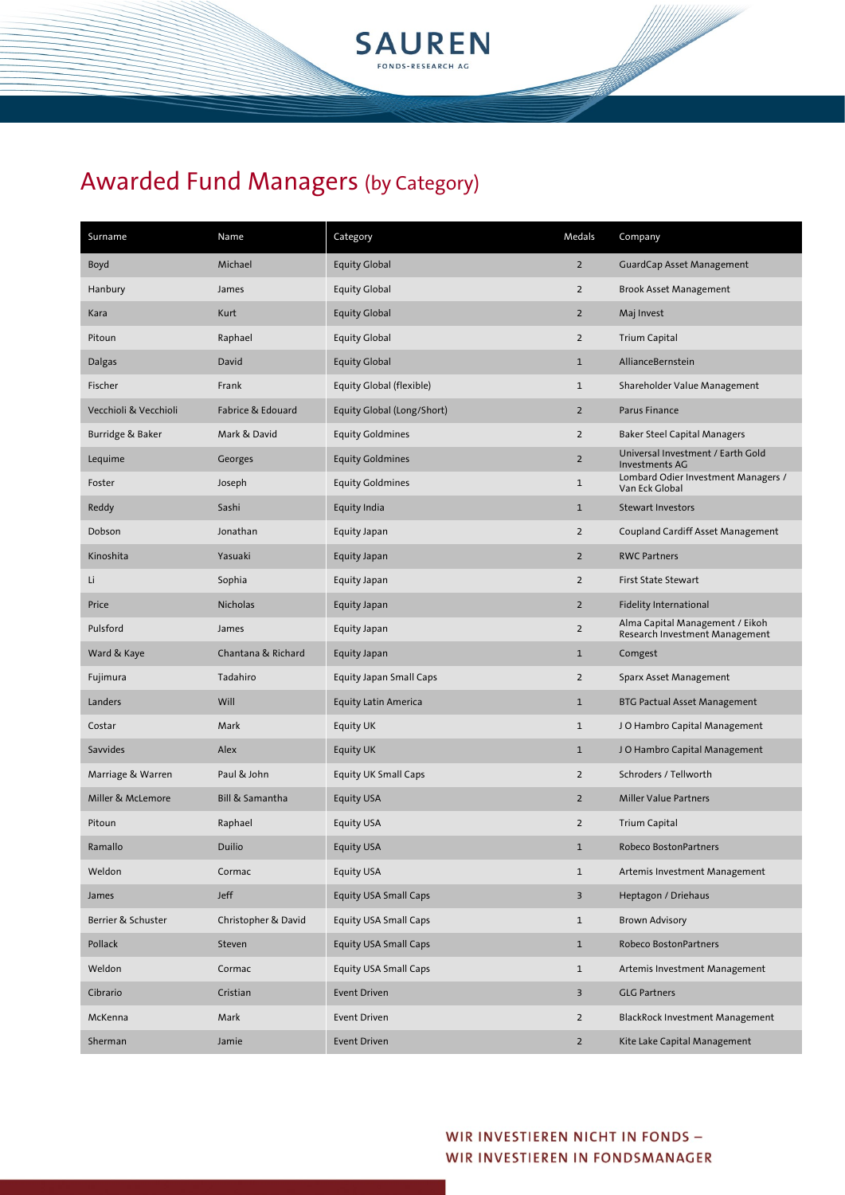

| Surname               | Name                | Category                       | Medals         | Company                                                           |
|-----------------------|---------------------|--------------------------------|----------------|-------------------------------------------------------------------|
| Boyd                  | Michael             | <b>Equity Global</b>           | $\overline{2}$ | <b>GuardCap Asset Management</b>                                  |
| Hanbury               | James               | <b>Equity Global</b>           | $\overline{2}$ | <b>Brook Asset Management</b>                                     |
| Kara                  | Kurt                | <b>Equity Global</b>           | $\overline{2}$ | Maj Invest                                                        |
| Pitoun                | Raphael             | <b>Equity Global</b>           | $\overline{2}$ | <b>Trium Capital</b>                                              |
| Dalgas                | David               | <b>Equity Global</b>           | $\mathbf{1}$   | AllianceBernstein                                                 |
| Fischer               | Frank               | Equity Global (flexible)       | $\mathbf{1}$   | Shareholder Value Management                                      |
| Vecchioli & Vecchioli | Fabrice & Edouard   | Equity Global (Long/Short)     | $\overline{2}$ | Parus Finance                                                     |
| Burridge & Baker      | Mark & David        | <b>Equity Goldmines</b>        | $\overline{2}$ | <b>Baker Steel Capital Managers</b>                               |
| Lequime               | Georges             | <b>Equity Goldmines</b>        | $\overline{2}$ | Universal Investment / Earth Gold<br>Investments AG               |
| Foster                | Joseph              | <b>Equity Goldmines</b>        | $\mathbf 1$    | Lombard Odier Investment Managers /<br>Van Eck Global             |
| Reddy                 | Sashi               | Equity India                   | $\mathbf{1}$   | <b>Stewart Investors</b>                                          |
| Dobson                | Jonathan            | Equity Japan                   | $\overline{2}$ | <b>Coupland Cardiff Asset Management</b>                          |
| Kinoshita             | Yasuaki             | Equity Japan                   | $\overline{2}$ | <b>RWC Partners</b>                                               |
| Li                    | Sophia              | Equity Japan                   | $\overline{2}$ | <b>First State Stewart</b>                                        |
| Price                 | <b>Nicholas</b>     | Equity Japan                   | $\overline{2}$ | <b>Fidelity International</b>                                     |
| Pulsford              | James               | Equity Japan                   | $\overline{2}$ | Alma Capital Management / Eikoh<br>Research Investment Management |
| Ward & Kaye           | Chantana & Richard  | Equity Japan                   | $\mathbf{1}$   | Comgest                                                           |
| Fujimura              | Tadahiro            | <b>Equity Japan Small Caps</b> | $\overline{2}$ | Sparx Asset Management                                            |
| Landers               | Will                | <b>Equity Latin America</b>    | $\mathbf{1}$   | <b>BTG Pactual Asset Management</b>                               |
| Costar                | Mark                | Equity UK                      | $\mathbf{1}$   | JO Hambro Capital Management                                      |
| <b>Savvides</b>       | Alex                | <b>Equity UK</b>               | $\mathbf{1}$   | JO Hambro Capital Management                                      |
| Marriage & Warren     | Paul & John         | Equity UK Small Caps           | $\overline{2}$ | Schroders / Tellworth                                             |
| Miller & McLemore     | Bill & Samantha     | Equity USA                     | $\overline{2}$ | <b>Miller Value Partners</b>                                      |
| Pitoun                | Raphael             | Equity USA                     | $\overline{2}$ | <b>Trium Capital</b>                                              |
| Ramallo               | <b>Duilio</b>       | <b>Equity USA</b>              | $\mathbf 1$    | Robeco BostonPartners                                             |
| Weldon                | Cormac              | Equity USA                     | $\mathbf{1}$   | Artemis Investment Management                                     |
| James                 | Jeff                | <b>Equity USA Small Caps</b>   | 3              | Heptagon / Driehaus                                               |
| Berrier & Schuster    | Christopher & David | Equity USA Small Caps          | $\mathbf{1}$   | <b>Brown Advisory</b>                                             |
| Pollack               | Steven              | <b>Equity USA Small Caps</b>   | $\mathbf{1}$   | Robeco BostonPartners                                             |
| Weldon                | Cormac              | Equity USA Small Caps          | $\mathbf{1}$   | Artemis Investment Management                                     |
| Cibrario              | Cristian            | <b>Event Driven</b>            | 3              | <b>GLG Partners</b>                                               |
| McKenna               | Mark                | <b>Event Driven</b>            | $\overline{2}$ | BlackRock Investment Management                                   |
| Sherman               | Jamie               | <b>Event Driven</b>            | $\overline{2}$ | Kite Lake Capital Management                                      |